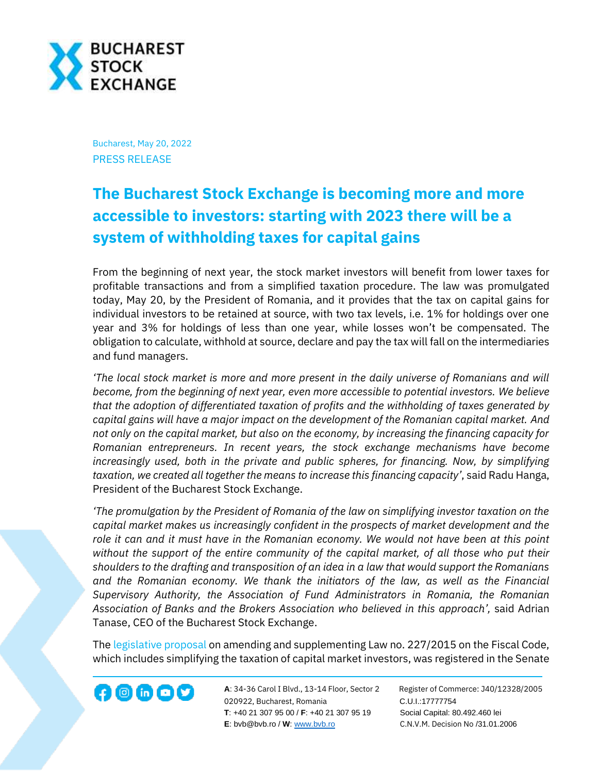

Bucharest, May 20, 2022 PRESS RELEASE

## **The Bucharest Stock Exchange is becoming more and more accessible to investors: starting with 2023 there will be a system of withholding taxes for capital gains**

From the beginning of next year, the stock market investors will benefit from lower taxes for profitable transactions and from a simplified taxation procedure. The law was promulgated today, May 20, by the President of Romania, and it provides that the tax on capital gains for individual investors to be retained at source, with two tax levels, i.e. 1% for holdings over one year and 3% for holdings of less than one year, while losses won't be compensated. The obligation to calculate, withhold at source, declare and pay the tax will fall on the intermediaries and fund managers.

*'The local stock market is more and more present in the daily universe of Romanians and will become, from the beginning of next year, even more accessible to potential investors. We believe that the adoption of differentiated taxation of profits and the withholding of taxes generated by capital gains will have a major impact on the development of the Romanian capital market. And not only on the capital market, but also on the economy, by increasing the financing capacity for Romanian entrepreneurs. In recent years, the stock exchange mechanisms have become increasingly used, both in the private and public spheres, for financing. Now, by simplifying taxation, we created all together the means to increase this financing capacity'*, said Radu Hanga, President of the Bucharest Stock Exchange.

*'The promulgation by the President of Romania of the law on simplifying investor taxation on the capital market makes us increasingly confident in the prospects of market development and the role it can and it must have in the Romanian economy. We would not have been at this point without the support of the entire community of the capital market, of all those who put their shoulders to the drafting and transposition of an idea in a law that would support the Romanians and the Romanian economy. We thank the initiators of the law, as well as the Financial Supervisory Authority, the Association of Fund Administrators in Romania, the Romanian Association of Banks and the Brokers Association who believed in this approach',* said Adrian Tanase, CEO of the Bucharest Stock Exchange.

The [legislative proposal](http://www.cdep.ro/pls/proiecte/upl_pck2015.proiect?idp=19761) on amending and supplementing Law no. 227/2015 on the Fiscal Code, which includes simplifying the taxation of capital market investors, was registered in the Senate



**A**: 34-36 Carol I Blvd., 13-14 Floor, Sector 2 Register of Commerce: J40/12328/2005 **1200 CD CD CONF A**: 34-36 Carol I Blvd., 13-14 Floor, Sector 2 Register of Comn<br>020922, Bucharest, Romania C.U.I.:17777754  **T**: +40 21 307 95 00 / **F**: +40 21 307 95 19 Social Capital: 80.492.460 lei **E**: bvb@bvb.ro / **W**[: www.bvb.ro](http://www.bvb.ro/) C.N.V.M. Decision No /31.01.2006